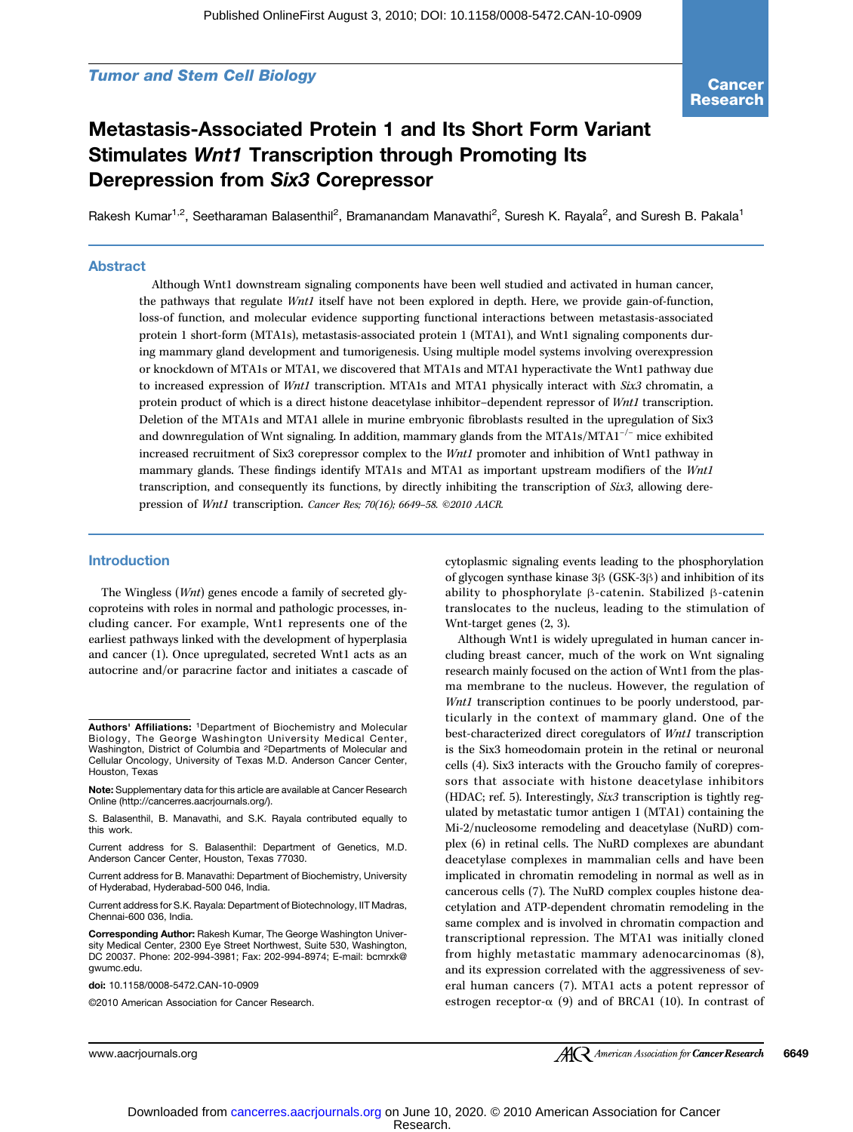**Cancer** Research

## Metastasis-Associated Protein 1 and Its Short Form Variant Stimulates Wnt1 Transcription through Promoting Its Derepression from Six3 Corepressor

Rakesh Kumar<sup>1,2</sup>, Seetharaman Balasenthil<sup>2</sup>, Bramanandam Manavathi<sup>2</sup>, Suresh K. Rayala<sup>2</sup>, and Suresh B. Pakala<sup>1</sup>

## Abstract

Although Wnt1 downstream signaling components have been well studied and activated in human cancer, the pathways that regulate *Wnt1* itself have not been explored in depth. Here, we provide gain-of-function, loss-of function, and molecular evidence supporting functional interactions between metastasis-associated protein 1 short-form (MTA1s), metastasis-associated protein 1 (MTA1), and Wnt1 signaling components during mammary gland development and tumorigenesis. Using multiple model systems involving overexpression or knockdown of MTA1s or MTA1, we discovered that MTA1s and MTA1 hyperactivate the Wnt1 pathway due to increased expression of Wnt1 transcription. MTA1s and MTA1 physically interact with  $Six3$  chromatin, a protein product of which is a direct histone deacetylase inhibitor–dependent repressor of Wnt1 transcription. Deletion of the MTA1s and MTA1 allele in murine embryonic fibroblasts resulted in the upregulation of Six3 and downregulation of Wnt signaling. In addition, mammary glands from the MTA1s/MTA1−/<sup>−</sup> mice exhibited increased recruitment of Six3 corepressor complex to the Wnt1 promoter and inhibition of Wnt1 pathway in mammary glands. These findings identify MTA1s and MTA1 as important upstream modifiers of the Wnt1 transcription, and consequently its functions, by directly inhibiting the transcription of Six3, allowing derepression of Wnt1 transcription. Cancer Res; 70(16); 6649*–*58. ©2010 AACR.

#### Introduction

The Wingless (Wnt) genes encode a family of secreted glycoproteins with roles in normal and pathologic processes, including cancer. For example, Wnt1 represents one of the earliest pathways linked with the development of hyperplasia and cancer (1). Once upregulated, secreted Wnt1 acts as an autocrine and/or paracrine factor and initiates a cascade of

S. Balasenthil, B. Manavathi, and S.K. Rayala contributed equally to this work.

Current address for S. Balasenthil: Department of Genetics, M.D. Anderson Cancer Center, Houston, Texas 77030.

Current address for B. Manavathi: Department of Biochemistry, University of Hyderabad, Hyderabad-500 046, India.

Current address for S.K. Rayala: Department of Biotechnology, IIT Madras, Chennai-600 036, India.

Corresponding Author: Rakesh Kumar, The George Washington University Medical Center, 2300 Eye Street Northwest, Suite 530, Washington, DC 20037. Phone: 202-994-3981; Fax: 202-994-8974; E-mail: bcmrxk@ gwumc.edu.

doi: 10.1158/0008-5472.CAN-10-0909

©2010 American Association for Cancer Research.

cytoplasmic signaling events leading to the phosphorylation of glycogen synthase kinase 3β (GSK-3β) and inhibition of its ability to phosphorylate β-catenin. Stabilized β-catenin translocates to the nucleus, leading to the stimulation of Wnt-target genes (2, 3).

Although Wnt1 is widely upregulated in human cancer including breast cancer, much of the work on Wnt signaling research mainly focused on the action of Wnt1 from the plasma membrane to the nucleus. However, the regulation of Wnt1 transcription continues to be poorly understood, particularly in the context of mammary gland. One of the best-characterized direct coregulators of Wnt1 transcription is the Six3 homeodomain protein in the retinal or neuronal cells (4). Six3 interacts with the Groucho family of corepressors that associate with histone deacetylase inhibitors (HDAC; ref. 5). Interestingly, Six3 transcription is tightly regulated by metastatic tumor antigen 1 (MTA1) containing the Mi-2/nucleosome remodeling and deacetylase (NuRD) complex (6) in retinal cells. The NuRD complexes are abundant deacetylase complexes in mammalian cells and have been implicated in chromatin remodeling in normal as well as in cancerous cells (7). The NuRD complex couples histone deacetylation and ATP-dependent chromatin remodeling in the same complex and is involved in chromatin compaction and transcriptional repression. The MTA1 was initially cloned from highly metastatic mammary adenocarcinomas (8), and its expression correlated with the aggressiveness of several human cancers (7). MTA1 acts a potent repressor of estrogen receptor-α (9) and of BRCA1 (10). In contrast of

www.aacrjournals.org 6649

Authors' Affiliations: 1Department of Biochemistry and Molecular Biology, The George Washington University Medical Center, Washington, District of Columbia and 2Departments of Molecular and Cellular Oncology, University of Texas M.D. Anderson Cancer Center, Houston, Texas

Note: Supplementary data for this article are available at Cancer Research Online (http://cancerres.aacrjournals.org/).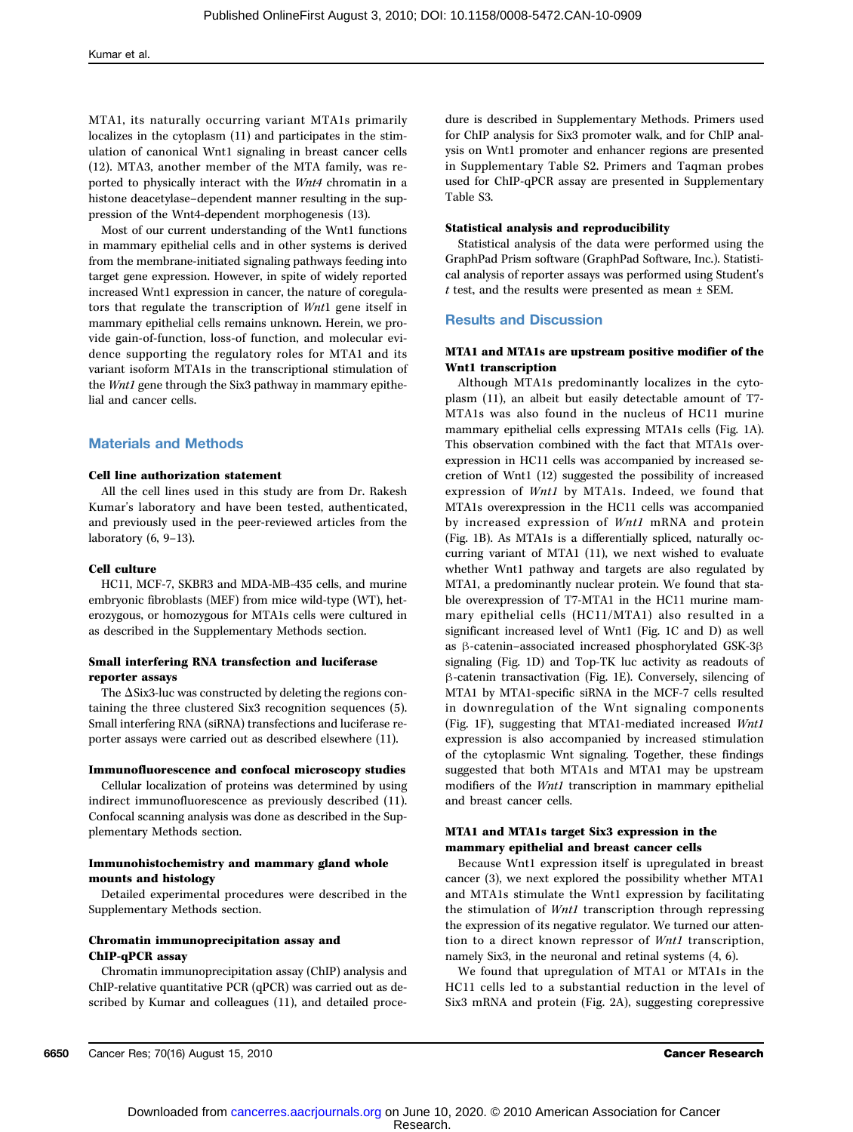MTA1, its naturally occurring variant MTA1s primarily localizes in the cytoplasm (11) and participates in the stimulation of canonical Wnt1 signaling in breast cancer cells (12). MTA3, another member of the MTA family, was reported to physically interact with the Wnt4 chromatin in a histone deacetylase–dependent manner resulting in the suppression of the Wnt4-dependent morphogenesis (13).

Most of our current understanding of the Wnt1 functions in mammary epithelial cells and in other systems is derived from the membrane-initiated signaling pathways feeding into target gene expression. However, in spite of widely reported increased Wnt1 expression in cancer, the nature of coregulators that regulate the transcription of Wnt1 gene itself in mammary epithelial cells remains unknown. Herein, we provide gain-of-function, loss-of function, and molecular evidence supporting the regulatory roles for MTA1 and its variant isoform MTA1s in the transcriptional stimulation of the Wnt1 gene through the Six3 pathway in mammary epithelial and cancer cells.

## Materials and Methods

#### Cell line authorization statement

All the cell lines used in this study are from Dr. Rakesh Kumar's laboratory and have been tested, authenticated, and previously used in the peer-reviewed articles from the laboratory (6, 9–13).

#### Cell culture

HC11, MCF-7, SKBR3 and MDA-MB-435 cells, and murine embryonic fibroblasts (MEF) from mice wild-type (WT), heterozygous, or homozygous for MTA1s cells were cultured in as described in the Supplementary Methods section.

### Small interfering RNA transfection and luciferase reporter assays

The ΔSix3-luc was constructed by deleting the regions containing the three clustered Six3 recognition sequences (5). Small interfering RNA (siRNA) transfections and luciferase reporter assays were carried out as described elsewhere (11).

#### Immunofluorescence and confocal microscopy studies

Cellular localization of proteins was determined by using indirect immunofluorescence as previously described (11). Confocal scanning analysis was done as described in the Supplementary Methods section.

## Immunohistochemistry and mammary gland whole mounts and histology

Detailed experimental procedures were described in the Supplementary Methods section.

## Chromatin immunoprecipitation assay and ChIP-qPCR assay

Chromatin immunoprecipitation assay (ChIP) analysis and ChIP-relative quantitative PCR (qPCR) was carried out as described by Kumar and colleagues (11), and detailed procedure is described in Supplementary Methods. Primers used for ChIP analysis for Six3 promoter walk, and for ChIP analysis on Wnt1 promoter and enhancer regions are presented in Supplementary Table S2. Primers and Taqman probes used for ChIP-qPCR assay are presented in Supplementary Table S3.

#### Statistical analysis and reproducibility

Statistical analysis of the data were performed using the GraphPad Prism software (GraphPad Software, Inc.). Statistical analysis of reporter assays was performed using Student's  $t$  test, and the results were presented as mean  $\pm$  SEM.

#### Results and Discussion

## MTA1 and MTA1s are upstream positive modifier of the Wnt1 transcription

Although MTA1s predominantly localizes in the cytoplasm (11), an albeit but easily detectable amount of T7- MTA1s was also found in the nucleus of HC11 murine mammary epithelial cells expressing MTA1s cells (Fig. 1A). This observation combined with the fact that MTA1s overexpression in HC11 cells was accompanied by increased secretion of Wnt1 (12) suggested the possibility of increased expression of Wnt1 by MTA1s. Indeed, we found that MTA1s overexpression in the HC11 cells was accompanied by increased expression of Wnt1 mRNA and protein (Fig. 1B). As MTA1s is a differentially spliced, naturally occurring variant of MTA1 (11), we next wished to evaluate whether Wnt1 pathway and targets are also regulated by MTA1, a predominantly nuclear protein. We found that stable overexpression of T7-MTA1 in the HC11 murine mammary epithelial cells (HC11/MTA1) also resulted in a significant increased level of Wnt1 (Fig. 1C and D) as well as β-catenin–associated increased phosphorylated GSK-3β signaling (Fig. 1D) and Top-TK luc activity as readouts of β-catenin transactivation (Fig. 1E). Conversely, silencing of MTA1 by MTA1-specific siRNA in the MCF-7 cells resulted in downregulation of the Wnt signaling components (Fig. 1F), suggesting that MTA1-mediated increased Wnt1 expression is also accompanied by increased stimulation of the cytoplasmic Wnt signaling. Together, these findings suggested that both MTA1s and MTA1 may be upstream modifiers of the Wnt1 transcription in mammary epithelial and breast cancer cells.

## MTA1 and MTA1s target Six3 expression in the mammary epithelial and breast cancer cells

Because Wnt1 expression itself is upregulated in breast cancer (3), we next explored the possibility whether MTA1 and MTA1s stimulate the Wnt1 expression by facilitating the stimulation of Wnt1 transcription through repressing the expression of its negative regulator. We turned our attention to a direct known repressor of Wnt1 transcription, namely Six3, in the neuronal and retinal systems (4, 6).

We found that upregulation of MTA1 or MTA1s in the HC11 cells led to a substantial reduction in the level of Six3 mRNA and protein (Fig. 2A), suggesting corepressive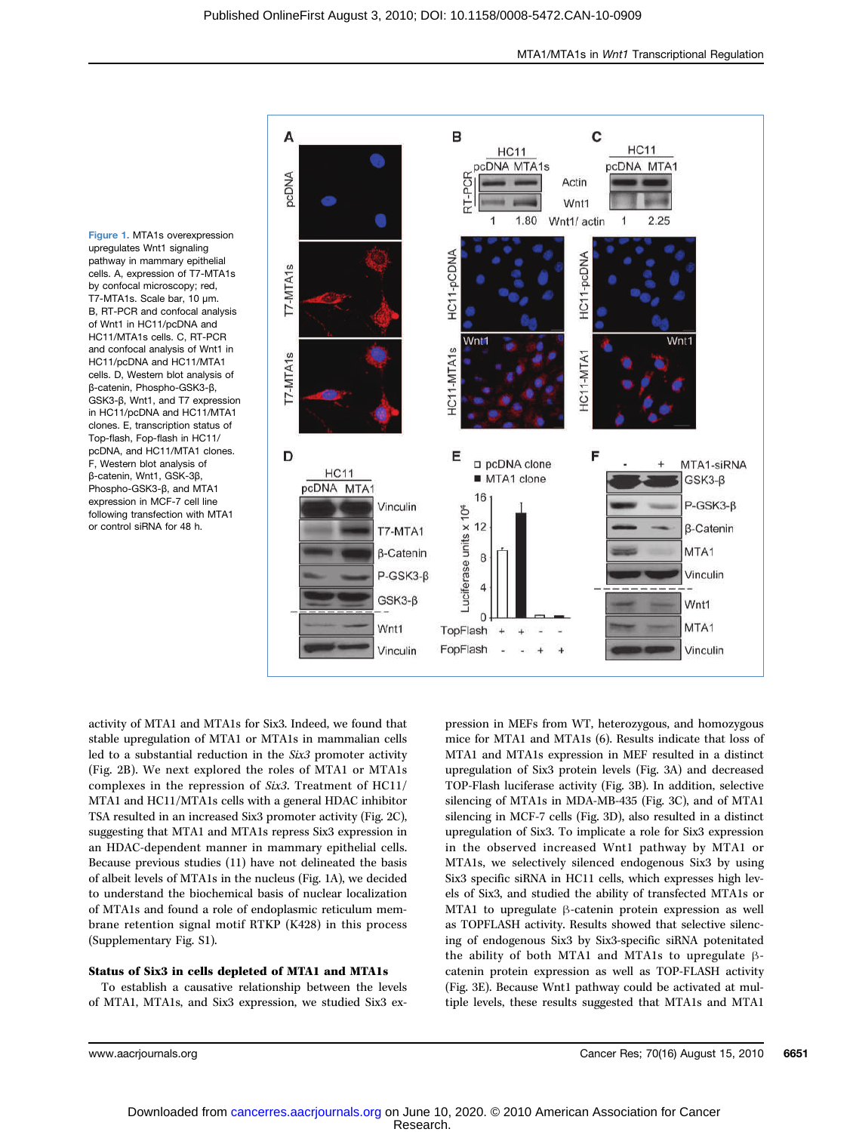Figure 1. MTA1s overexpression upregulates Wnt1 signaling pathway in mammary epithelial cells. A, expression of T7-MTA1s by confocal microscopy; red, T7-MTA1s. Scale bar, 10 μm. B, RT-PCR and confocal analysis of Wnt1 in HC11/pcDNA and HC11/MTA1s cells. C, RT-PCR and confocal analysis of Wnt1 in HC11/pcDNA and HC11/MTA1 cells. D, Western blot analysis of β-catenin, Phospho-GSK3-β, GSK3-β, Wnt1, and T7 expression in HC11/pcDNA and HC11/MTA1 clones. E, transcription status of Top-flash, Fop-flash in HC11/ pcDNA, and HC11/MTA1 clones. F, Western blot analysis of β-catenin, Wnt1, GSK-3β, Phospho-GSK3-β, and MTA1 expression in MCF-7 cell line following transfection with MTA1 or control siRNA for 48 h.



activity of MTA1 and MTA1s for Six3. Indeed, we found that stable upregulation of MTA1 or MTA1s in mammalian cells led to a substantial reduction in the Six3 promoter activity (Fig. 2B). We next explored the roles of MTA1 or MTA1s complexes in the repression of Six3. Treatment of HC11/ MTA1 and HC11/MTA1s cells with a general HDAC inhibitor TSA resulted in an increased Six3 promoter activity (Fig. 2C), suggesting that MTA1 and MTA1s repress Six3 expression in an HDAC-dependent manner in mammary epithelial cells. Because previous studies (11) have not delineated the basis of albeit levels of MTA1s in the nucleus (Fig. 1A), we decided to understand the biochemical basis of nuclear localization of MTA1s and found a role of endoplasmic reticulum membrane retention signal motif RTKP (K428) in this process (Supplementary Fig. S1).

#### Status of Six3 in cells depleted of MTA1 and MTA1s

To establish a causative relationship between the levels of MTA1, MTA1s, and Six3 expression, we studied Six3 expression in MEFs from WT, heterozygous, and homozygous mice for MTA1 and MTA1s (6). Results indicate that loss of MTA1 and MTA1s expression in MEF resulted in a distinct upregulation of Six3 protein levels (Fig. 3A) and decreased TOP-Flash luciferase activity (Fig. 3B). In addition, selective silencing of MTA1s in MDA-MB-435 (Fig. 3C), and of MTA1 silencing in MCF-7 cells (Fig. 3D), also resulted in a distinct upregulation of Six3. To implicate a role for Six3 expression in the observed increased Wnt1 pathway by MTA1 or MTA1s, we selectively silenced endogenous Six3 by using Six3 specific siRNA in HC11 cells, which expresses high levels of Six3, and studied the ability of transfected MTA1s or MTA1 to upregulate β-catenin protein expression as well as TOPFLASH activity. Results showed that selective silencing of endogenous Six3 by Six3-specific siRNA potenitated the ability of both MTA1 and MTA1s to upregulate βcatenin protein expression as well as TOP-FLASH activity (Fig. 3E). Because Wnt1 pathway could be activated at multiple levels, these results suggested that MTA1s and MTA1

www.aacrjournals.org Cancer Res; 70(16) August 15, 2010 6651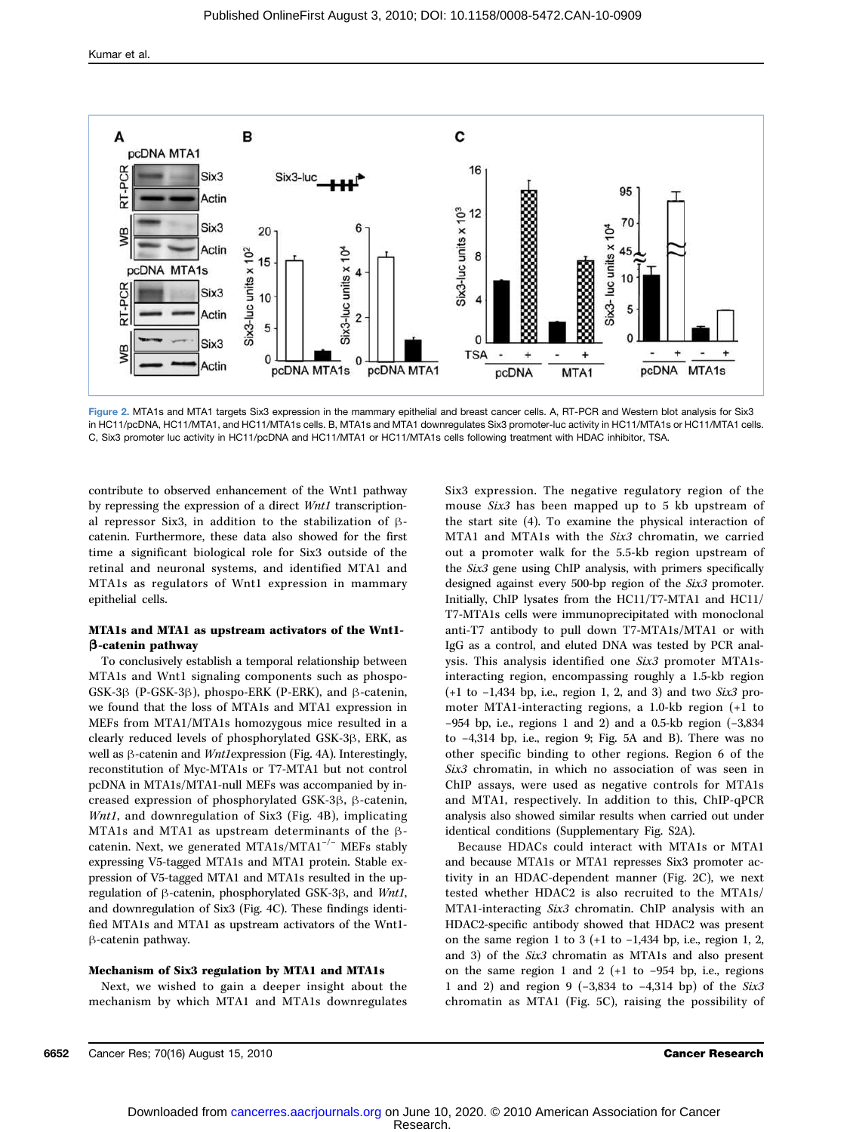

Figure 2. MTA1s and MTA1 targets Six3 expression in the mammary epithelial and breast cancer cells. A, RT-PCR and Western blot analysis for Six3 in HC11/pcDNA, HC11/MTA1, and HC11/MTA1s cells. B, MTA1s and MTA1 downregulates Six3 promoter-luc activity in HC11/MTA1s or HC11/MTA1 cells. C, Six3 promoter luc activity in HC11/pcDNA and HC11/MTA1 or HC11/MTA1s cells following treatment with HDAC inhibitor, TSA.

contribute to observed enhancement of the Wnt1 pathway by repressing the expression of a direct Wnt1 transcriptional repressor Six3, in addition to the stabilization of βcatenin. Furthermore, these data also showed for the first time a significant biological role for Six3 outside of the retinal and neuronal systems, and identified MTA1 and MTA1s as regulators of Wnt1 expression in mammary epithelial cells.

## MTA1s and MTA1 as upstream activators of the Wnt1 β-catenin pathway

To conclusively establish a temporal relationship between MTA1s and Wnt1 signaling components such as phospo-GSK-3β (P-GSK-3β), phospo-ERK (P-ERK), and β-catenin, we found that the loss of MTA1s and MTA1 expression in MEFs from MTA1/MTA1s homozygous mice resulted in a clearly reduced levels of phosphorylated GSK-3β, ERK, as well as β-catenin and Wnt1expression (Fig. 4A). Interestingly, reconstitution of Myc-MTA1s or T7-MTA1 but not control pcDNA in MTA1s/MTA1-null MEFs was accompanied by increased expression of phosphorylated GSK-3β, β-catenin, Wnt1, and downregulation of Six3 (Fig. 4B), implicating MTA1s and MTA1 as upstream determinants of the βcatenin. Next, we generated MTA1s/MTA1−/<sup>−</sup> MEFs stably expressing V5-tagged MTA1s and MTA1 protein. Stable expression of V5-tagged MTA1 and MTA1s resulted in the upregulation of β-catenin, phosphorylated GSK-3β, and Wnt1, and downregulation of Six3 (Fig. 4C). These findings identified MTA1s and MTA1 as upstream activators of the Wnt1 β-catenin pathway.

### Mechanism of Six3 regulation by MTA1 and MTA1s

Next, we wished to gain a deeper insight about the mechanism by which MTA1 and MTA1s downregulates Six3 expression. The negative regulatory region of the mouse Six3 has been mapped up to 5 kb upstream of the start site (4). To examine the physical interaction of MTA1 and MTA1s with the Six3 chromatin, we carried out a promoter walk for the 5.5-kb region upstream of the Six3 gene using ChIP analysis, with primers specifically designed against every 500-bp region of the Six3 promoter. Initially, ChIP lysates from the HC11/T7-MTA1 and HC11/ T7-MTA1s cells were immunoprecipitated with monoclonal anti-T7 antibody to pull down T7-MTA1s/MTA1 or with IgG as a control, and eluted DNA was tested by PCR analysis. This analysis identified one Six3 promoter MTA1sinteracting region, encompassing roughly a 1.5-kb region (+1 to −1,434 bp, i.e., region 1, 2, and 3) and two Six3 promoter MTA1-interacting regions, a 1.0-kb region (+1 to −954 bp, i.e., regions 1 and 2) and a 0.5-kb region (−3,834 to −4,314 bp, i.e., region 9; Fig. 5A and B). There was no other specific binding to other regions. Region 6 of the Six3 chromatin, in which no association of was seen in ChIP assays, were used as negative controls for MTA1s and MTA1, respectively. In addition to this, ChIP-qPCR analysis also showed similar results when carried out under identical conditions (Supplementary Fig. S2A).

Because HDACs could interact with MTA1s or MTA1 and because MTA1s or MTA1 represses Six3 promoter activity in an HDAC-dependent manner (Fig. 2C), we next tested whether HDAC2 is also recruited to the MTA1s/ MTA1-interacting Six3 chromatin. ChIP analysis with an HDAC2-specific antibody showed that HDAC2 was present on the same region 1 to 3 (+1 to −1,434 bp, i.e., region 1, 2, and 3) of the Six3 chromatin as MTA1s and also present on the same region 1 and 2 (+1 to −954 bp, i.e., regions 1 and 2) and region 9 (−3,834 to −4,314 bp) of the Six3 chromatin as MTA1 (Fig. 5C), raising the possibility of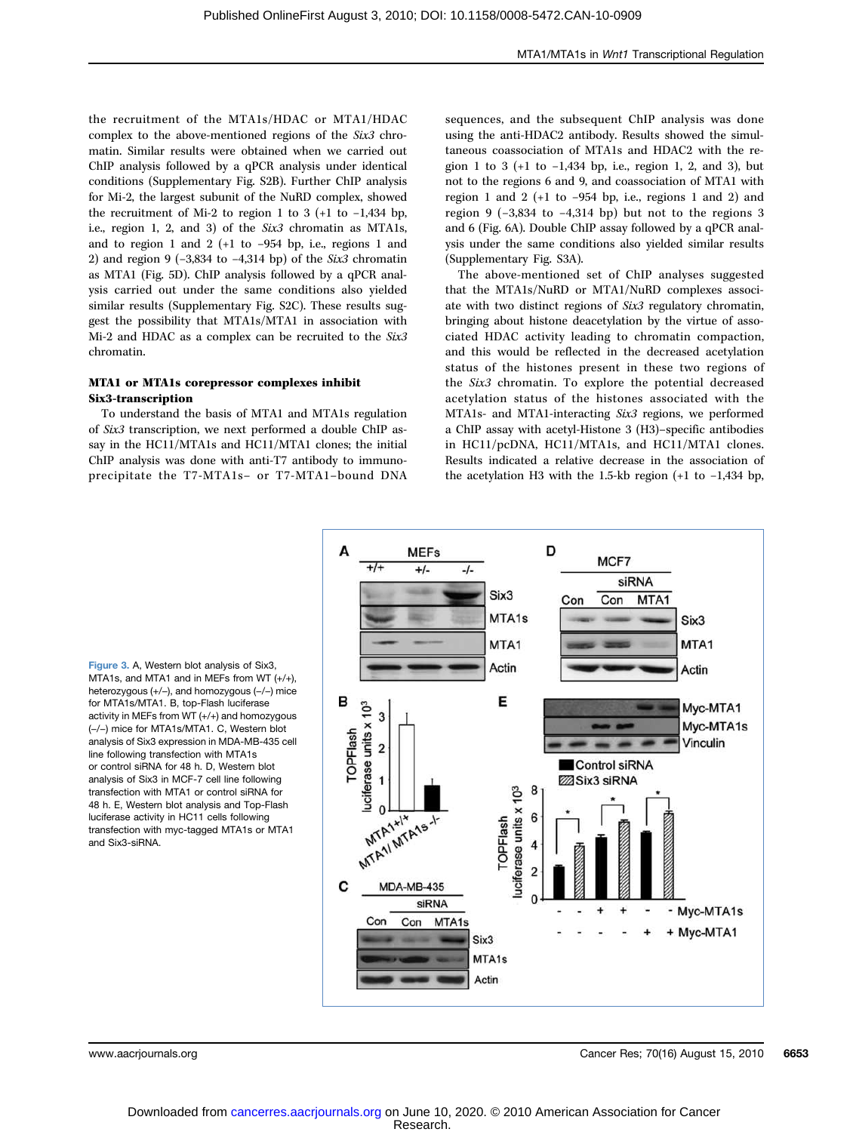the recruitment of the MTA1s/HDAC or MTA1/HDAC complex to the above-mentioned regions of the Six3 chromatin. Similar results were obtained when we carried out ChIP analysis followed by a qPCR analysis under identical conditions (Supplementary Fig. S2B). Further ChIP analysis for Mi-2, the largest subunit of the NuRD complex, showed the recruitment of Mi-2 to region 1 to 3 (+1 to −1,434 bp, i.e., region 1, 2, and 3) of the Six3 chromatin as MTA1s, and to region 1 and 2 (+1 to −954 bp, i.e., regions 1 and 2) and region 9 (−3,834 to −4,314 bp) of the Six3 chromatin as MTA1 (Fig. 5D). ChIP analysis followed by a qPCR analysis carried out under the same conditions also yielded similar results (Supplementary Fig. S2C). These results suggest the possibility that MTA1s/MTA1 in association with Mi-2 and HDAC as a complex can be recruited to the Six3 chromatin.

## MTA1 or MTA1s corepressor complexes inhibit Six3-transcription

To understand the basis of MTA1 and MTA1s regulation of Six3 transcription, we next performed a double ChIP assay in the HC11/MTA1s and HC11/MTA1 clones; the initial ChIP analysis was done with anti-T7 antibody to immunoprecipitate the T7-MTA1s– or T7-MTA1–bound DNA sequences, and the subsequent ChIP analysis was done using the anti-HDAC2 antibody. Results showed the simultaneous coassociation of MTA1s and HDAC2 with the region 1 to 3 (+1 to −1,434 bp, i.e., region 1, 2, and 3), but not to the regions 6 and 9, and coassociation of MTA1 with region 1 and 2 (+1 to  $-954$  bp, i.e., regions 1 and 2) and region 9 (−3,834 to −4,314 bp) but not to the regions 3 and 6 (Fig. 6A). Double ChIP assay followed by a qPCR analysis under the same conditions also yielded similar results (Supplementary Fig. S3A).

The above-mentioned set of ChIP analyses suggested that the MTA1s/NuRD or MTA1/NuRD complexes associate with two distinct regions of Six3 regulatory chromatin, bringing about histone deacetylation by the virtue of associated HDAC activity leading to chromatin compaction, and this would be reflected in the decreased acetylation status of the histones present in these two regions of the Six3 chromatin. To explore the potential decreased acetylation status of the histones associated with the MTA1s- and MTA1-interacting Six3 regions, we performed a ChIP assay with acetyl-Histone 3 (H3)–specific antibodies in HC11/pcDNA, HC11/MTA1s, and HC11/MTA1 clones. Results indicated a relative decrease in the association of the acetylation H3 with the 1.5-kb region (+1 to −1,434 bp,



Figure 3. A, Western blot analysis of Six3, MTA1s, and MTA1 and in MEFs from WT (+/+), heterozygous (+/−), and homozygous (−/−) mice for MTA1s/MTA1. B, top-Flash luciferase activity in MEFs from WT (+/+) and homozygous (−/−) mice for MTA1s/MTA1. C, Western blot analysis of Six3 expression in MDA-MB-435 cell line following transfection with MTA1s or control siRNA for 48 h. D, Western blot analysis of Six3 in MCF-7 cell line following transfection with MTA1 or control siRNA for 48 h. E, Western blot analysis and Top-Flash luciferase activity in HC11 cells following transfection with myc-tagged MTA1s or MTA1 and Six3-siRNA.

www.aacriournals.org Cancer Res; 70(16) August 15, 2010 6653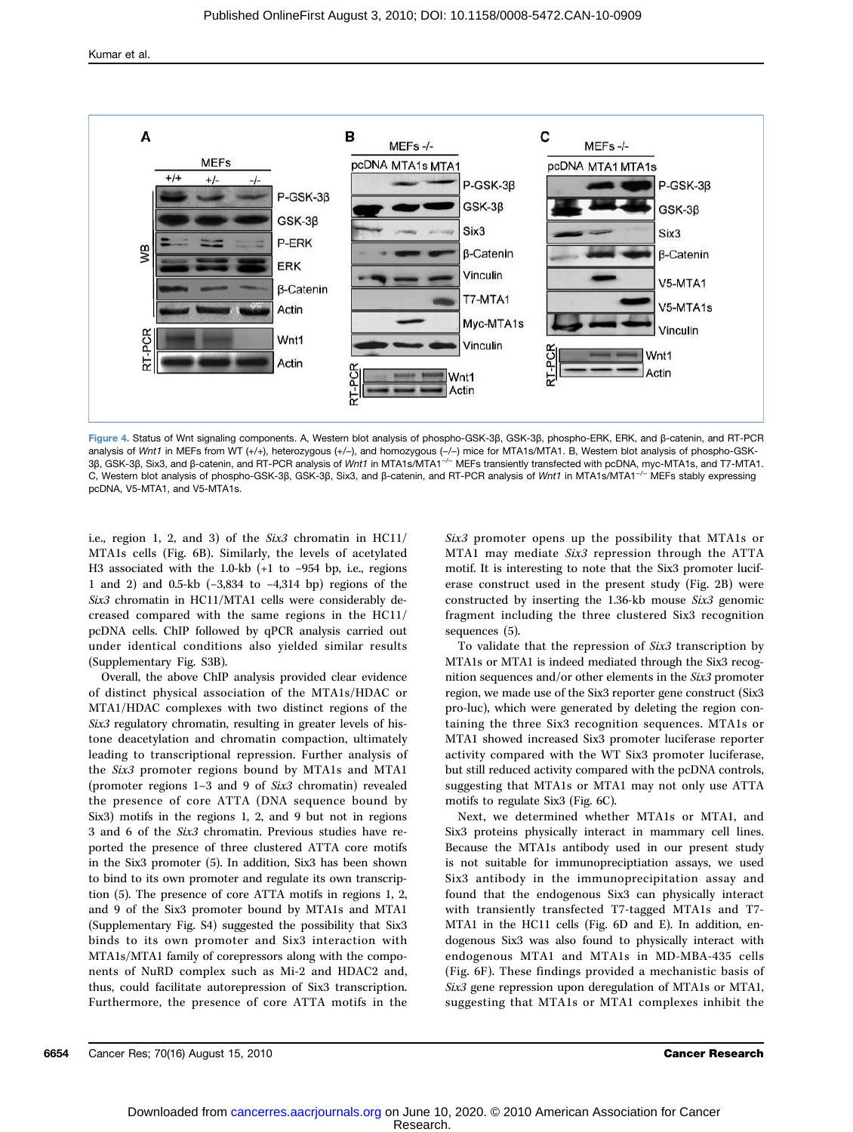

Figure 4. Status of Wnt signaling components. A, Western blot analysis of phospho-GSK-3β, GSK-3β, phospho-ERK, ERK, and β-catenin, and RT-PCR analysis of Wnt1 in MEFs from WT (+/+), heterozygous (+/-), and homozygous (-/-) mice for MTA1s/MTA1. B, Western blot analysis of phospho-GSK-3β, GSK-3β, Six3, and β-catenin, and RT-PCR analysis of Wnt1 in MTA1s/MTA1−/<sup>−</sup> MEFs transiently transfected with pcDNA, myc-MTA1s, and T7-MTA1. C, Western blot analysis of phospho-GSK-3β, GSK-3β, Six3, and β-catenin, and RT-PCR analysis of Wnt1 in MTA1s/MTA1−/<sup>−</sup> MEFs stably expressing pcDNA, V5-MTA1, and V5-MTA1s.

i.e., region 1, 2, and 3) of the Six3 chromatin in HC11/ MTA1s cells (Fig. 6B). Similarly, the levels of acetylated H3 associated with the 1.0-kb (+1 to −954 bp, i.e., regions 1 and 2) and 0.5-kb (−3,834 to −4,314 bp) regions of the Six3 chromatin in HC11/MTA1 cells were considerably decreased compared with the same regions in the HC11/ pcDNA cells. ChIP followed by qPCR analysis carried out under identical conditions also yielded similar results (Supplementary Fig. S3B).

Overall, the above ChIP analysis provided clear evidence of distinct physical association of the MTA1s/HDAC or MTA1/HDAC complexes with two distinct regions of the Six3 regulatory chromatin, resulting in greater levels of histone deacetylation and chromatin compaction, ultimately leading to transcriptional repression. Further analysis of the Six3 promoter regions bound by MTA1s and MTA1 (promoter regions 1–3 and 9 of Six3 chromatin) revealed the presence of core ATTA (DNA sequence bound by Six3) motifs in the regions 1, 2, and 9 but not in regions 3 and 6 of the Six3 chromatin. Previous studies have reported the presence of three clustered ATTA core motifs in the Six3 promoter (5). In addition, Six3 has been shown to bind to its own promoter and regulate its own transcription (5). The presence of core ATTA motifs in regions 1, 2, and 9 of the Six3 promoter bound by MTA1s and MTA1 (Supplementary Fig. S4) suggested the possibility that Six3 binds to its own promoter and Six3 interaction with MTA1s/MTA1 family of corepressors along with the components of NuRD complex such as Mi-2 and HDAC2 and, thus, could facilitate autorepression of Six3 transcription. Furthermore, the presence of core ATTA motifs in the

Six3 promoter opens up the possibility that MTA1s or MTA1 may mediate Six3 repression through the ATTA motif. It is interesting to note that the Six3 promoter luciferase construct used in the present study (Fig. 2B) were constructed by inserting the 1.36-kb mouse Six3 genomic fragment including the three clustered Six3 recognition sequences (5).

To validate that the repression of Six3 transcription by MTA1s or MTA1 is indeed mediated through the Six3 recognition sequences and/or other elements in the Six3 promoter region, we made use of the Six3 reporter gene construct (Six3 pro-luc), which were generated by deleting the region containing the three Six3 recognition sequences. MTA1s or MTA1 showed increased Six3 promoter luciferase reporter activity compared with the WT Six3 promoter luciferase, but still reduced activity compared with the pcDNA controls, suggesting that MTA1s or MTA1 may not only use ATTA motifs to regulate Six3 (Fig. 6C).

Next, we determined whether MTA1s or MTA1, and Six3 proteins physically interact in mammary cell lines. Because the MTA1s antibody used in our present study is not suitable for immunopreciptiation assays, we used Six3 antibody in the immunoprecipitation assay and found that the endogenous Six3 can physically interact with transiently transfected T7-tagged MTA1s and T7- MTA1 in the HC11 cells (Fig. 6D and E). In addition, endogenous Six3 was also found to physically interact with endogenous MTA1 and MTA1s in MD-MBA-435 cells (Fig. 6F). These findings provided a mechanistic basis of Six3 gene repression upon deregulation of MTA1s or MTA1, suggesting that MTA1s or MTA1 complexes inhibit the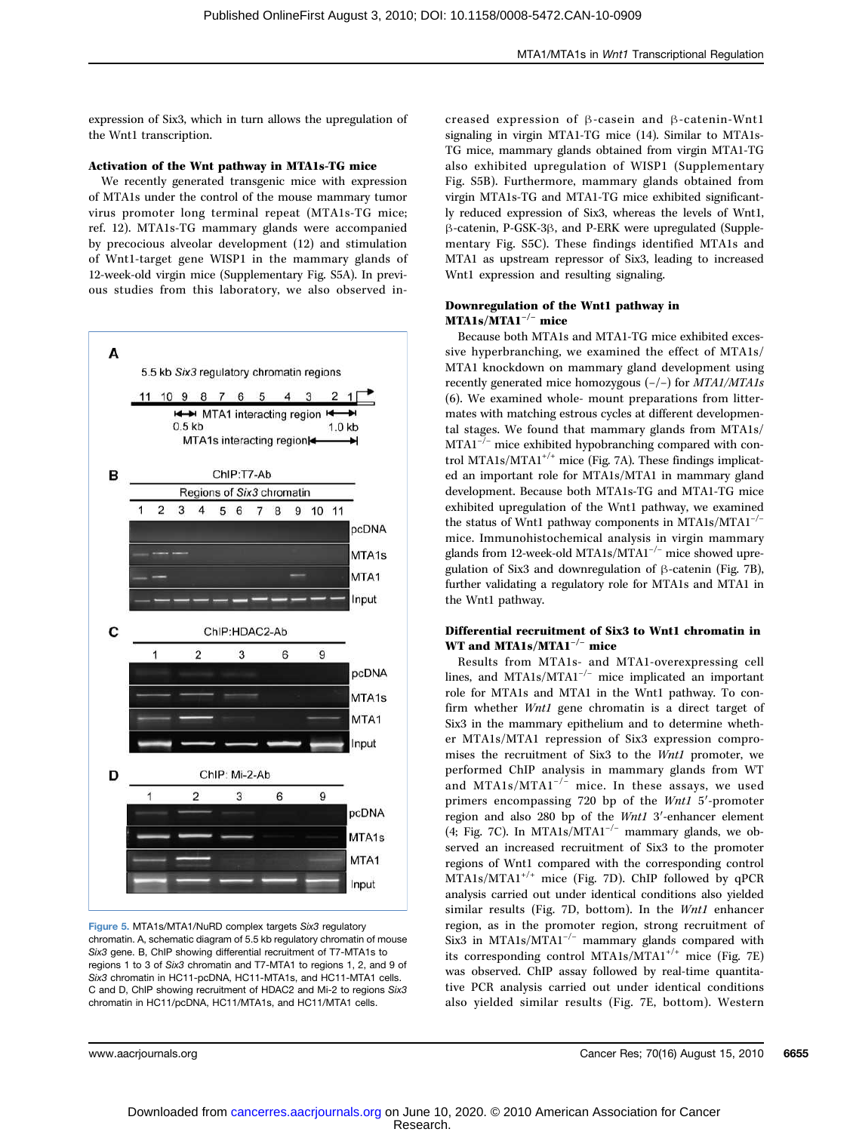expression of Six3, which in turn allows the upregulation of the Wnt1 transcription.

#### Activation of the Wnt pathway in MTA1s-TG mice

We recently generated transgenic mice with expression of MTA1s under the control of the mouse mammary tumor virus promoter long terminal repeat (MTA1s-TG mice; ref. 12). MTA1s-TG mammary glands were accompanied by precocious alveolar development (12) and stimulation of Wnt1-target gene WISP1 in the mammary glands of 12-week-old virgin mice (Supplementary Fig. S5A). In previous studies from this laboratory, we also observed in-



Figure 5. MTA1s/MTA1/NuRD complex targets Six3 regulatory chromatin. A, schematic diagram of 5.5 kb regulatory chromatin of mouse Six3 gene. B, ChIP showing differential recruitment of T7-MTA1s to regions 1 to 3 of Six3 chromatin and T7-MTA1 to regions 1, 2, and 9 of Six3 chromatin in HC11-pcDNA, HC11-MTA1s, and HC11-MTA1 cells. C and D, ChIP showing recruitment of HDAC2 and Mi-2 to regions Six3 chromatin in HC11/pcDNA, HC11/MTA1s, and HC11/MTA1 cells.

creased expression of β-casein and β-catenin-Wnt1 signaling in virgin MTA1-TG mice (14). Similar to MTA1s-TG mice, mammary glands obtained from virgin MTA1-TG also exhibited upregulation of WISP1 (Supplementary Fig. S5B). Furthermore, mammary glands obtained from virgin MTA1s-TG and MTA1-TG mice exhibited significantly reduced expression of Six3, whereas the levels of Wnt1, β-catenin, P-GSK-3β, and P-ERK were upregulated (Supplementary Fig. S5C). These findings identified MTA1s and MTA1 as upstream repressor of Six3, leading to increased Wnt1 expression and resulting signaling.

## Downregulation of the Wnt1 pathway in MTA1s/MTA1−/<sup>−</sup> mice

Because both MTA1s and MTA1-TG mice exhibited excessive hyperbranching, we examined the effect of MTA1s/ MTA1 knockdown on mammary gland development using recently generated mice homozygous (−/−) for MTA1/MTA1s (6). We examined whole- mount preparations from littermates with matching estrous cycles at different developmental stages. We found that mammary glands from MTA1s/  $MTAl^{-/-}$  mice exhibited hypobranching compared with control MTA1s/MTA1+/+ mice (Fig. 7A). These findings implicated an important role for MTA1s/MTA1 in mammary gland development. Because both MTA1s-TG and MTA1-TG mice exhibited upregulation of the Wnt1 pathway, we examined the status of Wnt1 pathway components in MTA1s/MTA1<sup>-/−</sup> mice. Immunohistochemical analysis in virgin mammary glands from 12-week-old MTA1s/MTA1<sup>-/−</sup> mice showed upregulation of Six3 and downregulation of β-catenin (Fig. 7B), further validating a regulatory role for MTA1s and MTA1 in the Wnt1 pathway.

## Differential recruitment of Six3 to Wnt1 chromatin in WT and MTA1s/MTA1<sup>-/−</sup> mice

Results from MTA1s- and MTA1-overexpressing cell lines, and MTA1s/MTA1−/<sup>−</sup> mice implicated an important role for MTA1s and MTA1 in the Wnt1 pathway. To confirm whether Wnt1 gene chromatin is a direct target of Six3 in the mammary epithelium and to determine whether MTA1s/MTA1 repression of Six3 expression compromises the recruitment of Six3 to the Wnt1 promoter, we performed ChIP analysis in mammary glands from WT and MTA1s/MTA1<sup> $-/-$ </sup> mice. In these assays, we used primers encompassing 720 bp of the Wnt1 5′-promoter region and also 280 bp of the Wnt1 3′-enhancer element (4; Fig. 7C). In MTA1s/MTA1<sup>-/-</sup> mammary glands, we observed an increased recruitment of Six3 to the promoter regions of Wnt1 compared with the corresponding control  $MTA1s/MTA1^{+/+}$  mice (Fig. 7D). ChIP followed by qPCR analysis carried out under identical conditions also yielded similar results (Fig. 7D, bottom). In the *Wnt1* enhancer region, as in the promoter region, strong recruitment of Six3 in MTA1s/MTA1−/<sup>−</sup> mammary glands compared with its corresponding control MTA1s/MTA1+/+ mice (Fig. 7E) was observed. ChIP assay followed by real-time quantitative PCR analysis carried out under identical conditions also yielded similar results (Fig. 7E, bottom). Western

www.aacrjournals.org Cancer Res; 70(16) August 15, 2010 6655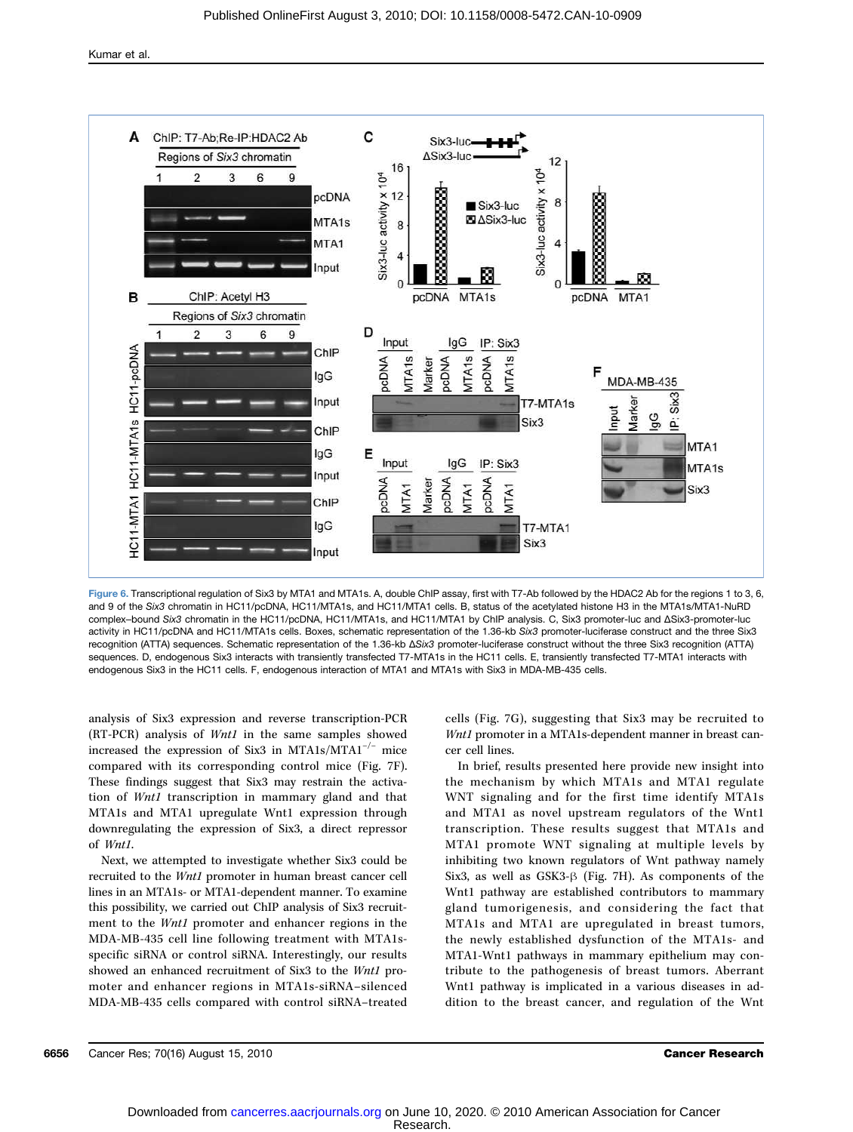Kumar et al.



Figure 6. Transcriptional regulation of Six3 by MTA1 and MTA1s. A, double ChIP assay, first with T7-Ab followed by the HDAC2 Ab for the regions 1 to 3, 6, and 9 of the Six3 chromatin in HC11/pcDNA, HC11/MTA1s, and HC11/MTA1 cells. B, status of the acetylated histone H3 in the MTA1s/MTA1-NuRD complex–bound Six3 chromatin in the HC11/pcDNA, HC11/MTA1s, and HC11/MTA1 by ChIP analysis. C, Six3 promoter-luc and ΔSix3-promoter-luc activity in HC11/pcDNA and HC11/MTA1s cells. Boxes, schematic representation of the 1.36-kb Six3 promoter-luciferase construct and the three Six3 recognition (ATTA) sequences. Schematic representation of the 1.36-kb ΔSix3 promoter-luciferase construct without the three Six3 recognition (ATTA) sequences. D, endogenous Six3 interacts with transiently transfected T7-MTA1s in the HC11 cells. E, transiently transfected T7-MTA1 interacts with endogenous Six3 in the HC11 cells. F, endogenous interaction of MTA1 and MTA1s with Six3 in MDA-MB-435 cells.

analysis of Six3 expression and reverse transcription-PCR (RT-PCR) analysis of Wnt1 in the same samples showed increased the expression of Six3 in MTA1s/MTA1<sup>-/-</sup> mice compared with its corresponding control mice (Fig. 7F). These findings suggest that Six3 may restrain the activation of Wnt1 transcription in mammary gland and that MTA1s and MTA1 upregulate Wnt1 expression through downregulating the expression of Six3, a direct repressor of Wnt1.

Next, we attempted to investigate whether Six3 could be recruited to the Wnt1 promoter in human breast cancer cell lines in an MTA1s- or MTA1-dependent manner. To examine this possibility, we carried out ChIP analysis of Six3 recruitment to the Wnt1 promoter and enhancer regions in the MDA-MB-435 cell line following treatment with MTA1sspecific siRNA or control siRNA. Interestingly, our results showed an enhanced recruitment of Six3 to the Wnt1 promoter and enhancer regions in MTA1s-siRNA–silenced MDA-MB-435 cells compared with control siRNA–treated cells (Fig. 7G), suggesting that Six3 may be recruited to Wnt1 promoter in a MTA1s-dependent manner in breast cancer cell lines.

In brief, results presented here provide new insight into the mechanism by which MTA1s and MTA1 regulate WNT signaling and for the first time identify MTA1s and MTA1 as novel upstream regulators of the Wnt1 transcription. These results suggest that MTA1s and MTA1 promote WNT signaling at multiple levels by inhibiting two known regulators of Wnt pathway namely Six3, as well as GSK3-β (Fig. 7H). As components of the Wnt1 pathway are established contributors to mammary gland tumorigenesis, and considering the fact that MTA1s and MTA1 are upregulated in breast tumors, the newly established dysfunction of the MTA1s- and MTA1-Wnt1 pathways in mammary epithelium may contribute to the pathogenesis of breast tumors. Aberrant Wnt1 pathway is implicated in a various diseases in addition to the breast cancer, and regulation of the Wnt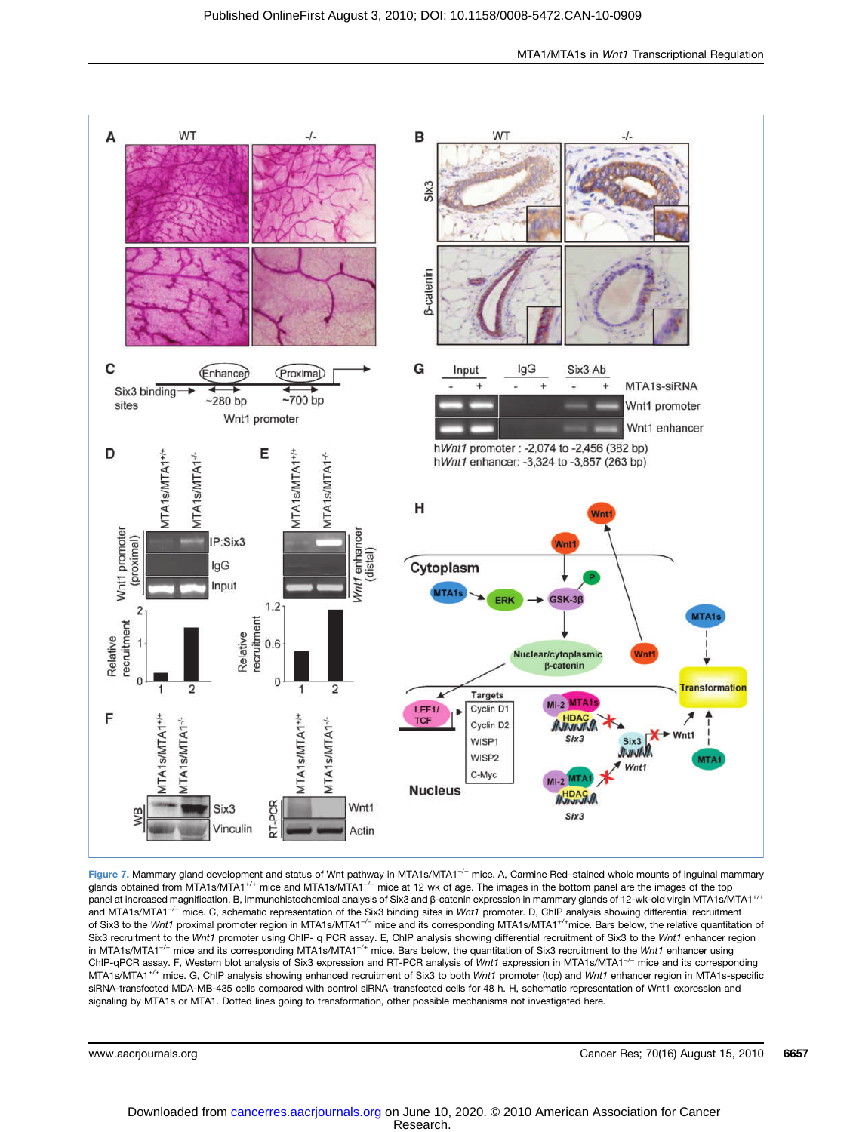

Figure 7. Mammary gland development and status of Wnt pathway in MTA1s/MTA1<sup>-/−</sup> mice. A, Carmine Red–stained whole mounts of inguinal mammary glands obtained from MTA1s/MTA1<sup>+/+</sup> mice and MTA1s/MTA1<sup>-/−</sup> mice at 12 wk of age. The images in the bottom panel are the images of the top panel at increased magnification. B, immunohistochemical analysis of Six3 and β-catenin expression in mammary glands of 12-wk-old virgin MTA1s/MTA1+/+ and MTA1s/MTA1<sup>-/−</sup> mice. C, schematic representation of the Six3 binding sites in Wnt1 promoter. D, ChIP analysis showing differential recruitment of Six3 to the Wnt1 proximal promoter region in MTA1s/MTA1<sup>-/-</sup> mice and its corresponding MTA1s/MTA1<sup>+/+</sup>mice. Bars below, the relative quantitation of Six3 recruitment to the Wnt1 promoter using ChIP- q PCR assay. E, ChIP analysis showing differential recruitment of Six3 to the Wnt1 enhancer region in MTA1s/MTA1<sup>-/-</sup> mice and its corresponding MTA1s/MTA1<sup>+/+</sup> mice. Bars below, the quantitation of Six3 recruitment to the Wnt1 enhancer using ChIP-qPCR assay. F, Western blot analysis of Six3 expression and RT-PCR analysis of Wnt1 expression in MTA1s/MTA1<sup>-/−</sup> mice and its corresponding MTA1s/MTA1<sup>+/+</sup> mice. G, ChIP analysis showing enhanced recruitment of Six3 to both Wnt1 promoter (top) and Wnt1 enhancer region in MTA1s-specific siRNA-transfected MDA-MB-435 cells compared with control siRNA–transfected cells for 48 h. H, schematic representation of Wnt1 expression and signaling by MTA1s or MTA1. Dotted lines going to transformation, other possible mechanisms not investigated here.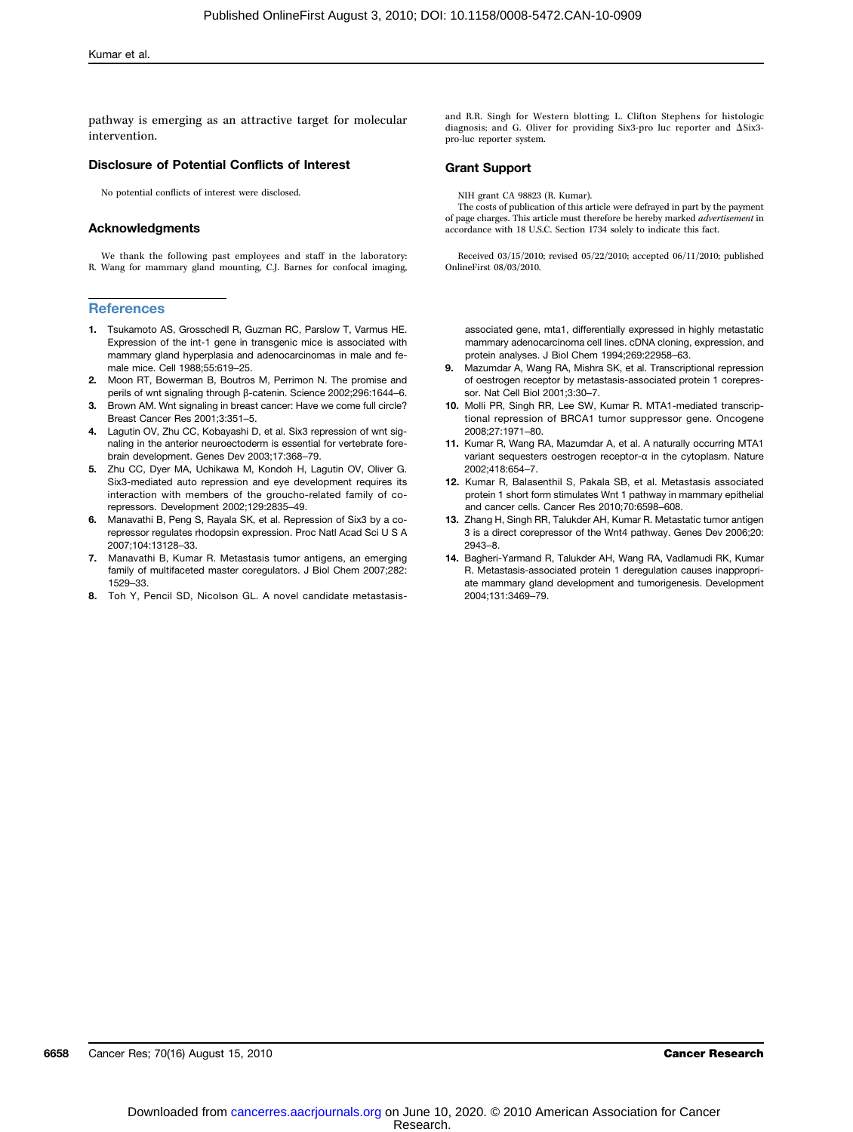pathway is emerging as an attractive target for molecular intervention.

#### Disclosure of Potential Conflicts of Interest

No potential conflicts of interest were disclosed.

#### Acknowledgments

We thank the following past employees and staff in the laboratory: R. Wang for mammary gland mounting, C.J. Barnes for confocal imaging,

#### **References**

- 1. Tsukamoto AS, Grosschedl R, Guzman RC, Parslow T, Varmus HE. Expression of the int-1 gene in transgenic mice is associated with mammary gland hyperplasia and adenocarcinomas in male and female mice. Cell 1988;55:619–25.
- 2. Moon RT, Bowerman B, Boutros M, Perrimon N. The promise and perils of wnt signaling through β-catenin. Science 2002;296:1644–6.
- 3. Brown AM. Wnt signaling in breast cancer: Have we come full circle? Breast Cancer Res 2001;3:351–5.
- 4. Lagutin OV, Zhu CC, Kobayashi D, et al. Six3 repression of wnt signaling in the anterior neuroectoderm is essential for vertebrate forebrain development. Genes Dev 2003;17:368–79.
- 5. Zhu CC, Dyer MA, Uchikawa M, Kondoh H, Lagutin OV, Oliver G. Six3-mediated auto repression and eye development requires its interaction with members of the groucho-related family of corepressors. Development 2002;129:2835–49.
- 6. Manavathi B, Peng S, Rayala SK, et al. Repression of Six3 by a corepressor regulates rhodopsin expression. Proc Natl Acad Sci U S A 2007;104:13128–33.
- 7. Manavathi B, Kumar R. Metastasis tumor antigens, an emerging family of multifaceted master coregulators. J Biol Chem 2007;282: 1529–33.
- 8. Toh Y, Pencil SD, Nicolson GL. A novel candidate metastasis-

and R.R. Singh for Western blotting; L. Clifton Stephens for histologic diagnosis; and G. Oliver for providing Six3-pro luc reporter and ΔSix3 pro-luc reporter system.

#### Grant Support

NIH grant CA 98823 (R. Kumar).

The costs of publication of this article were defrayed in part by the payment<br>nage charges. This article must therefore be hereby marked *advertisement* in of page charges. This article must therefore be hereby marked *advertise* accordance with 18 U.S.C. Section 1734 solely to indicate this fact.

Received 03/15/2010; revised 05/22/2010; accepted 06/11/2010; published OnlineFirst 08/03/2010.

associated gene, mta1, differentially expressed in highly metastatic mammary adenocarcinoma cell lines. cDNA cloning, expression, and protein analyses. J Biol Chem 1994;269:22958–63.

- 9. Mazumdar A, Wang RA, Mishra SK, et al. Transcriptional repression of oestrogen receptor by metastasis-associated protein 1 corepressor. Nat Cell Biol 2001;3:30–7.
- 10. Molli PR, Singh RR, Lee SW, Kumar R. MTA1-mediated transcriptional repression of BRCA1 tumor suppressor gene. Oncogene 2008;27:1971–80.
- 11. Kumar R, Wang RA, Mazumdar A, et al. A naturally occurring MTA1 variant sequesters oestrogen receptor-α in the cytoplasm. Nature 2002;418:654–7.
- 12. Kumar R, Balasenthil S, Pakala SB, et al. Metastasis associated protein 1 short form stimulates Wnt 1 pathway in mammary epithelial and cancer cells. Cancer Res 2010;70:6598–608.
- 13. Zhang H, Singh RR, Talukder AH. Kumar R. Metastatic tumor antigen 3 is a direct corepressor of the Wnt4 pathway. Genes Dev 2006;20: 2943–8.
- 14. Bagheri-Yarmand R, Talukder AH, Wang RA, Vadlamudi RK, Kumar R. Metastasis-associated protein 1 deregulation causes inappropriate mammary gland development and tumorigenesis. Development 2004;131:3469–79.